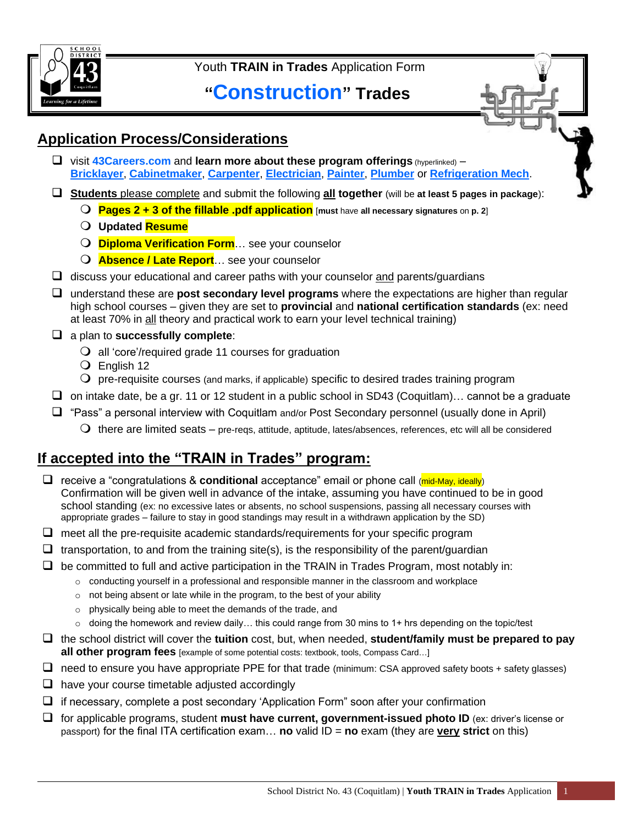

Youth **TRAIN in Trades** Application Form

# **"Construction" Trades**



### **Application Process/Considerations**

- ❑ visit **[43Careers.com](https://www.sd43.bc.ca/CareerPrograms/Pages/Trades.aspx#/=)** and **learn more about these program offerings** (hyperlinked) **[Bricklayer](https://www.sd43.bc.ca/CareerPrograms/Pages/Bricklayer.aspx#/=)**, **[Cabinetmaker](https://www.sd43.bc.ca/CareerPrograms/Pages/Cabinetmaker.aspx#/=)**, **[Carpenter](https://www.sd43.bc.ca/CareerPrograms/Pages/Carpenter.aspx#/=)**, **[Electrician](https://www.sd43.bc.ca/CareerPrograms/Pages/Electrician.aspx#/=)**, **[Painter](https://www.sd43.bc.ca/CareerPrograms/Pages/Painter.aspx#/=)**, **[Plumber](https://www.sd43.bc.ca/CareerPrograms/Pages/Plumber.aspx#/=)** or **[Refrigeration Mech](https://www.sd43.bc.ca/CareerPrograms/Pages/Refrigeration-Mecahnic.aspx#/=)**.
- ❑ **Students** please complete and submit the following **all together** (will be **at least 5 pages in package**):
	- **Pages 2 + 3 of the fillable .pdf application** [**must** have **all necessary signatures** on **p. <sup>2</sup>**]
	- **Updated Resume**
	- **Diploma Verification Form**… see your counselor
	- **Absence / Late Report**… see your counselor
- $\Box$  discuss your educational and career paths with your counselor and parents/guardians
- ❑ understand these are **post secondary level programs** where the expectations are higher than regular high school courses – given they are set to **provincial** and **national certification standards** (ex: need at least 70% in all theory and practical work to earn your level technical training)
- ❑ a plan to **successfully complete**:
	- all 'core'/required grade 11 courses for graduation
	- English 12
	- $\Omega$  pre-requisite courses (and marks, if applicable) specific to desired trades training program
- ❑ on intake date, be a gr. 11 or 12 student in a public school in SD43 (Coquitlam)… cannot be a graduate
- ❑ "Pass" a personal interview with Coquitlam and/or Post Secondary personnel (usually done in April)
	- $\bigcirc$  there are limited seats pre-reqs, attitude, aptitude, lates/absences, references, etc will all be considered

## **If accepted into the "TRAIN in Trades" program:**

- ❑ receive a "congratulations & **conditional** acceptance" email or phone call (mid-May, ideally) Confirmation will be given well in advance of the intake, assuming you have continued to be in good school standing (ex: no excessive lates or absents, no school suspensions, passing all necessary courses with appropriate grades – failure to stay in good standings may result in a withdrawn application by the SD)
- $\Box$  meet all the pre-requisite academic standards/requirements for your specific program
- $\Box$  transportation, to and from the training site(s), is the responsibility of the parent/guardian
- $\Box$  be committed to full and active participation in the TRAIN in Trades Program, most notably in:
	- $\circ$  conducting yourself in a professional and responsible manner in the classroom and workplace
	- $\circ$  not being absent or late while in the program, to the best of your ability
	- o physically being able to meet the demands of the trade, and
	- $\circ$  doing the homework and review daily... this could range from 30 mins to 1+ hrs depending on the topic/test
- ❑ the school district will cover the **tuition** cost, but, when needed, **student/family must be prepared to pay all other program fees** [example of some potential costs: textbook, tools, Compass Card…]
- $\Box$  need to ensure you have appropriate PPE for that trade (minimum: CSA approved safety boots + safety glasses)
- $\Box$  have your course timetable adjusted accordingly
- ❑ if necessary, complete a post secondary 'Application Form" soon after your confirmation
- ❑ for applicable programs, student **must have current, government-issued photo ID** (ex: driver's license or passport) for the final ITA certification exam… **no** valid ID = **no** exam (they are **very strict** on this)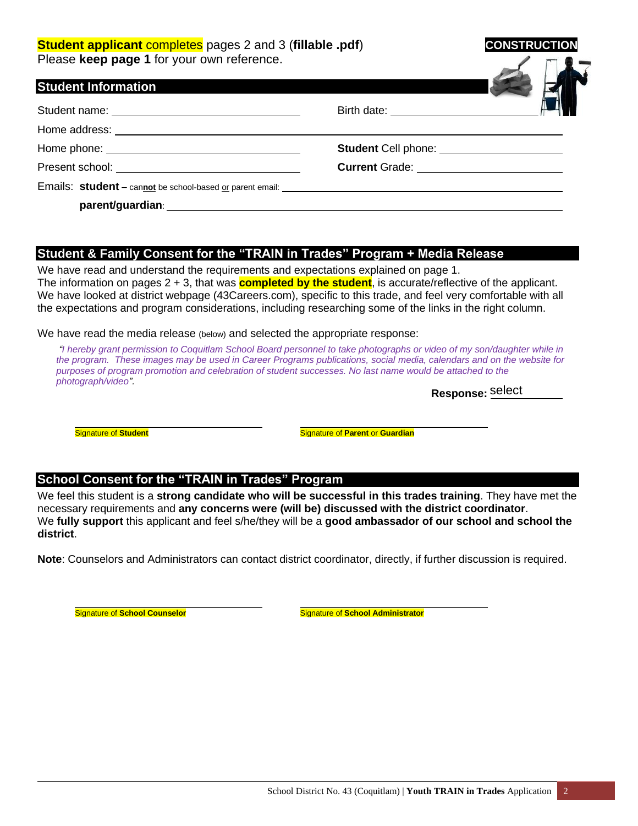#### **Student applicant** completes pages 2 and 3 (fillable .pdf) **CONSTRUC** Please **keep page 1** for your own reference.

| <b>Student Information</b> |                                              |  |
|----------------------------|----------------------------------------------|--|
|                            | Birth date: ______________________           |  |
|                            |                                              |  |
|                            | Student Cell phone: ________________________ |  |
|                            | Current Grade: _________________________     |  |
|                            |                                              |  |
|                            |                                              |  |

#### **Student & Family Consent for the "TRAIN in Trades" Program + Media Release**

We have read and understand the requirements and expectations explained on page 1. The information on pages 2 + 3, that was **completed by the student**, is accurate/reflective of the applicant. We have looked at district webpage (43Careers.com), specific to this trade, and feel very comfortable with all the expectations and program considerations, including researching some of the links in the right column.

We have read the media release (below) and selected the appropriate response:

*"I hereby grant permission to Coquitlam School Board personnel to take photographs or video of my son/daughter while in the program. These images may be used in Career Programs publications, social media, calendars and on the website for purposes of program promotion and celebration of student successes. No last name would be attached to the photograph/video".*

**Response:**  select

**Signature of Student** Student Student Student Student Student Student Student Student Student Student Student Student Student Student Student Student Student Student Student Student Student Student Student Student Student

#### **School Consent for the "TRAIN in Trades" Program**

We feel this student is a **strong candidate who will be successful in this trades training**. They have met the necessary requirements and **any concerns were (will be) discussed with the district coordinator**. We **fully support** this applicant and feel s/he/they will be a **good ambassador of our school and school the district**.

**Note**: Counselors and Administrators can contact district coordinator, directly, if further discussion is required.

**Signature of School Counselor State School Administrator** Signature of **School Administrator**